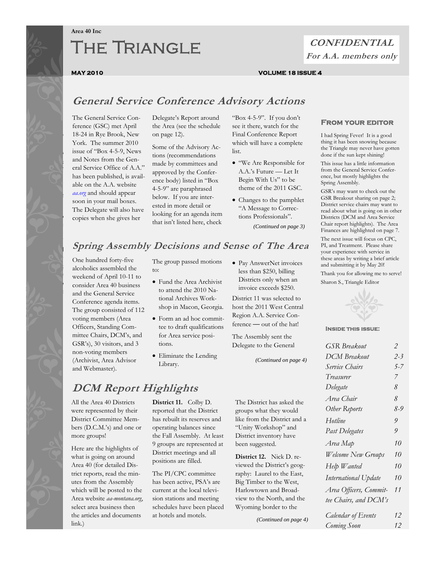# **THE TRIANGLE**

### **CONFIDENTIAL For A.A. members only**

**Area 40 Inc** 

#### **MAY 2010 VOLUME 18 ISSUE 4**

### **General Service Conference Advisory Actions**

18-24 in Rye Brook, New  $\parallel$  issue of "Box 4-5-9, News and Notes from the General Service Office of A.A."  $\mathbb{R}$  has been published, is avail- $\blacksquare$  able on the A.A. website *aa.org* and should appear copies when she gives her The General Service Conference (GSC) met April York. The summer 2010 soon in your mail boxes. The Delegate will also have

Delegate's Report around the Area (see the schedule on page 12).

Some of the Advisory Actions (recommendations made by committees and approved by the Conference body) listed in "Box 4-5-9" are paraphrased below. If you are interested in more detail or looking for an agenda item that isn't listed here, check

"Box 4-5-9". If you don't see it there, watch for the Final Conference Report which will have a complete list.

- "We Are Responsible for A.A.'s Future — Let It Begin With Us" to be theme of the 2011 GSC.
- Changes to the pamphlet "A Message to Corrections Professionals".

*(Continued on page 3)* 

#### **From your editor**

I had Spring Fever! It is a good thing it has been snowing because the Triangle may never have gotten done if the sun kept shining!

This issue has a little information from the General Service Conference, but mostly highlights the Spring Assembly.

GSR's may want to check out the GSR Breakout sharing on page 2; District service chairs may want to read about what is going on in other Districts (DCM and Area Service Chair report highlights). The Area Finances are highlighted on page 7.

The next issue will focus on CPC, PI, and Treatment. Please share your experience with service in these areas by writing a brief article and submitting it by May 20!

Thank you for allowing me to serve! Sharon S., Triangle Editor



#### **Inside this issue:**

| <b>GSR</b> Breakout    | $\mathcal{P}$ |
|------------------------|---------------|
| DCM Breakout           | $2 - 3$       |
| Service Chairs         | $5 - 7$       |
| Treasurer              | 7             |
| Delegate               | 8             |
| Area Chair             | 8             |
| Other Reports          | 8-9           |
| Hotline                | 9             |
| <b>Past Delegates</b>  | 9             |
| Area Map               | 10            |
| Welcome New Groups     | 10            |
| Help Wanted            | 10            |
| International Update   | 10            |
| Area Officers, Commit- | 11            |
| tee Chairs, and DCM's  |               |
| Calendar of Events     | 12            |
| Coming Soon            | 12            |

One hundred forty-five  $\alpha$  alcoholics assembled the weekend of April 10-11 to consider Area 40 business **I'll be mediate in your candidate in your candidate in your case of the General Service** Conference agenda items. The group consisted of 112 voting members (Area Officers, Standing Committee Chairs, DCM's, and GSR's), 30 visitors, and 3 non-voting members (Archivist, Area Advisor and Webmaster).

**curity** 

The group passed motions to:

**tion: Financial inse-Spring Assembly Decisions and Sense of The Area** 

- Fund the Area Archivist to attend the 2010 National Archives Workshop in Macon, Georgia.
- Form an ad hoc committee to draft qualifications for Area service positions.
- Eliminate the Lending Library.

• Pay AnswerNet invoices less than \$250, billing Districts only when an invoice exceeds \$250.

District 11 was selected to host the 2011 West Central Region A.A. Service Conference — out of the hat!

The Assembly sent the Delegate to the General

*(Continued on page 4)* 

### **DCM Report Highlights**

All the Area 40 Districts were represented by their District Committee Members (D.C.M.'s) and one or more groups!

Here are the highlights of what is going on around Area 40 (for detailed District reports, read the minutes from the Assembly which will be posted to the Area website *aa-montana.org*, select area business then the articles and documents link.)

**District 11.** Colby D. reported that the District has rebuilt its reserves and operating balances since the Fall Assembly. At least 9 groups are represented at District meetings and all positions are filled.

The PI/CPC committee has been active, PSA's are current at the local television stations and meeting schedules have been placed at hotels and motels.

The District has asked the groups what they would like from the District and a "Unity Workshop" and District inventory have been suggested.

**District 12.** Nick D. reviewed the District's geography: Laurel to the East, Big Timber to the West, Harlowtown and Broadview to the North, and the Wyoming border to the

*(Continued on page 4)*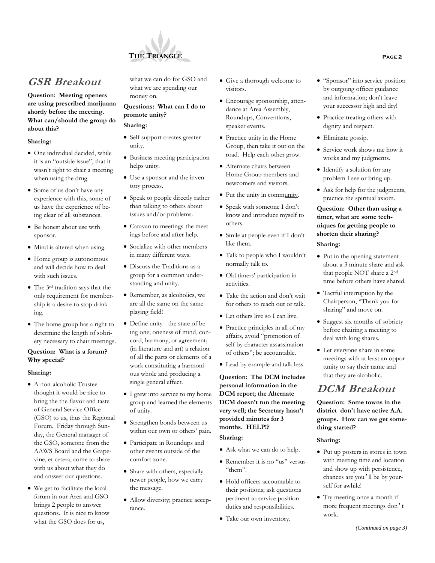

### **GSR Breakout**

**Question: Meeting openers are using prescribed marijuana shortly before the meeting. What can/should the group do about this?**

#### **Sharing:**

- One individual decided, while it is an "outside issue", that it wasn't right to chair a meeting when using the drug.
- Some of us don't have any experience with this, some of us have the experience of being clear of all substances.
- Be honest about use with sponsor.
- Mind is altered when using.
- Home group is autonomous and will decide how to deal with such issues.
- The 3rd tradition says that the only requirement for membership is a desire to stop drinking.
- The home group has a right to determine the length of sobriety necessary to chair meetings.

### **Question: What is a forum? Why special?**

#### **Sharing:**

- A non-alcoholic Trustee thought it would be nice to bring the the flavor and taste of General Service Office (GSO) to us, thus the Regional Forum. Friday through Sunday, the General manager of the GSO, someone from the AAWS Board and the Grapevine, et cetera, come to share with us about what they do and answer our questions.
- We get to facilitate the local forum in our Area and GSO brings 2 people to answer questions. It is nice to know what the GSO does for us,

what we can do for GSO and what we are spending our money on.

### **Questions: What can I do to promote unity?**

### **Sharing:**

- Self support creates greater unity.
- Business meeting participation helps unity.
- Use a sponsor and the inventory process.
- Speak to people directly rather than talking to others about issues and/or problems.
- Caravan to meetings-the meetings before and after help.
- Socialize with other members in many different ways.
- Discuss the Traditions as a group for a common understanding and unity.
- Remember, as alcoholics, we are all the same on the same playing field!
- Define unity the state of being one; oneness of mind, concord, harmony, or agreement; (in literature and art) a relation of all the parts or elements of a work constituting a harmonious whole and producing a single general effect.
- I grew into service to my home group and learned the elements of unity.
- Strengthen bonds between us within our own or others' pain.
- Participate in Roundups and other events outside of the comfort zone.
- Share with others, especially newer people, how we carry the message.
- Allow diversity; practice acceptance.
- Give a thorough welcome to visitors.
- Encourage sponsorship, attendance at Area Assembly, Roundups, Conventions, speaker events.
- Practice unity in the Home Group, then take it out on the road. Help each other grow.
- Alternate chairs between Home Group members and newcomers and visitors.
- Put the unity in community.
- Speak with someone I don't know and introduce myself to others.
- Smile at people even if I don't like them.
- Talk to people who I wouldn't normally talk to.
- Old timers' participation in activities.
- Take the action and don't wait for others to reach out or talk.
- Let others live so I can live.
- Practice principles in all of my affairs, avoid "promotion of self by character assassination of others"; be accountable.
- Lead by example and talk less.

**Question: The DCM includes personal information in the DCM report; the Alternate DCM doesn't run the meeting very well; the Secretary hasn't provided minutes for 3 months. HELP!?**

#### **Sharing:**

- Ask what we can do to help.
- Remember it is no "us" versus "them".
- Hold officers accountable to their positions; ask questions pertinent to service position duties and responsibilities.
- Take our own inventory.
- "Sponsor" into service position by outgoing officer guidance and information; don't leave your successor high and dry!
- Practice treating others with dignity and respect.
- Eliminate gossip.
- Service work shows me how it works and my judgments.
- Identify a solution for any problem I see or bring up.
- Ask for help for the judgments, practice the spiritual axiom.

**Question: Other than using a timer, what are some techniques for getting people to shorten their sharing?**

#### **Sharing:**

- Put in the opening statement about a 3 minute share and ask that people NOT share a 2nd time before others have shared.
- Tactful interruption by the Chairperson, "Thank you for sharing" and move on.
- Suggest six months of sobriety before chairing a meeting to deal with long shares.
- Let everyone share in some meetings with at least an opportunity to say their name and that they are alcoholic.

### **DCM Breakout**

**Question: Some towns in the district don't have active A.A. groups. How can we get something started?** 

#### **Sharing:**

- Put up posters in stores in town with meeting time and location and show up with persistence, chances are you'll be by yourself for awhile!
- Try meeting once a month if more frequent meetings don't work.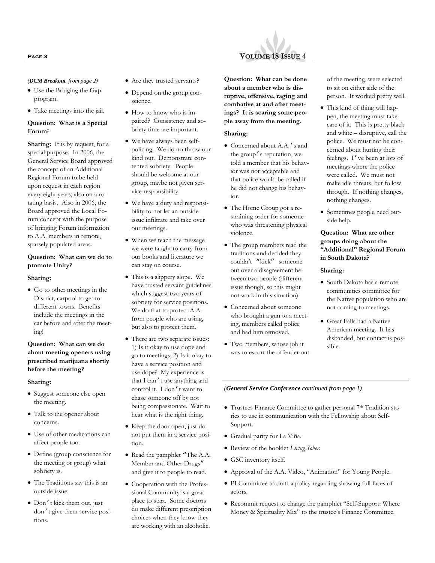#### *(DCM Breakout from page 2)*

- Use the Bridging the Gap program.
- Take meetings into the jail.

#### **Question: What is a Special Forum**?

**Sharing:** It is by request, for a special purpose. In 2006, the General Service Board approved the concept of an Additional Regional Forum to be held upon request in each region every eight years, also on a rotating basis. Also in 2006, the Board approved the Local Forum concept with the purpose of bringing Forum information to A.A. members in remote, sparsely populated areas.

### **Question: What can we do to promote Unity?**

#### **Sharing:**

• Go to other meetings in the District, carpool to get to different towns. Benefits include the meetings in the car before and after the meeting!

**Question: What can we do about meeting openers using prescribed marijuana shortly before the meeting?** 

#### **Sharing:**

- Suggest someone else open the meeting.
- Talk to the opener about concerns.
- Use of other medications can affect people too.
- Define (group conscience for the meeting or group) what sobriety is.
- The Traditions say this is an outside issue.
- Don't kick them out, just don't give them service positions.
- Are they trusted servants?
- Depend on the group conscience.
- How to know who is impaired? Consistency and sobriety time are important.
- We have always been selfpolicing. We do no throw our kind out. Demonstrate contented sobriety. People should be welcome at our group, maybe not given service responsibility.
- We have a duty and responsibility to not let an outside issue infiltrate and take over our meetings.
- When we teach the message we were taught to carry from our books and literature we can stay on course.
- This is a slippery slope. We have trusted servant guidelines which suggest two years of sobriety for service positions. We do that to protect A.A. from people who are using, but also to protect them.
- There are two separate issues: 1) Is it okay to use dope and go to meetings; 2) Is it okay to have a service position and use dope? My experience is that I can't use anything and control it. I don't want to chase someone off by not being compassionate. Wait to hear what is the right thing.
- Keep the door open, just do not put them in a service position.
- Read the pamphlet "The A.A. Member and Other Drugs" and give it to people to read.
- Cooperation with the Professional Community is a great place to start. Some doctors do make different prescription choices when they know they are working with an alcoholic.



#### **Sharing:**

- Concerned about A.A.'s and the group's reputation, we told a member that his behavior was not acceptable and that police would be called if he did not change his behavior.
- The Home Group got a restraining order for someone who was threatening physical violence.
- The group members read the traditions and decided they couldn't "kick" someone out over a disagreement between two people (different issue though, so this might not work in this situation).
- Concerned about someone who brought a gun to a meeting, members called police and had him removed.
- Two members, whose job it was to escort the offender out

of the meeting, were selected to sit on either side of the person. It worked pretty well.

- This kind of thing will happen, the meeting must take care of it. This is pretty black and white – disruptive, call the police. We must not be concerned about hurting their feelings. I've been at lots of meetings where the police were called. We must not make idle threats, but follow through. If nothing changes, nothing changes.
- Sometimes people need outside help.

#### **Question: What are other groups doing about the "Additional" Regional Forum in South Dakota?**

#### **Sharing:**

- South Dakota has a remote communities committee for the Native population who are not coming to meetings.
- Great Falls had a Native American meeting. It has disbanded, but contact is possible.

#### *(General Service Conference continued from page 1)*

- Trustees Finance Committee to gather personal 7th Tradition stories to use in communication with the Fellowship about Self-Support.
- Gradual parity for La Viña.
- Review of the booklet *Living Sober*.
- GSC inventory itself.
- Approval of the A.A. Video, "Animation" for Young People.
- PI Committee to draft a policy regarding showing full faces of actors.
- Recommit request to change the pamphlet "Self-Support: Where Money & Spirituality Mix" to the trustee's Finance Committee.

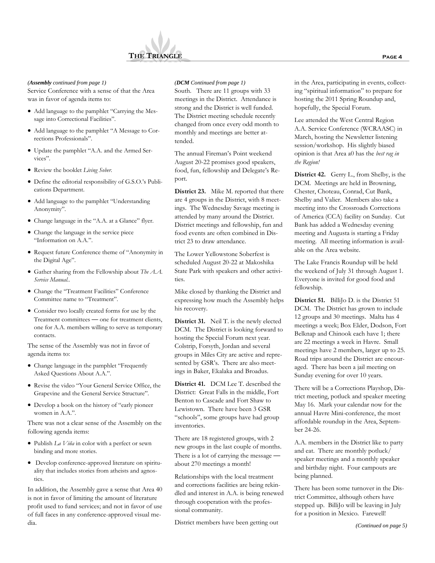

#### *(Assembly continued from page 1)*

Service Conference with a sense of that the Area was in favor of agenda items to:

- Add language to the pamphlet "Carrying the Message into Correctional Facilities".
- Add language to the pamphlet "A Message to Corrections Professionals".
- Update the pamphlet "A.A. and the Armed Services".
- Review the booklet *Living Sober*.
- Define the editorial responsibility of G.S.O.'s Publications Department.
- Add language to the pamphlet "Understanding Anonymity".
- Change language in the "A.A. at a Glance" flyer.
- Change the language in the service piece "Information on A.A.".
- Request future Conference theme of "Anonymity in the Digital Age".
- Gather sharing from the Fellowship about *The A.A. Service Manual.*.
- Change the "Treatment Facilities" Conference Committee name to "Treatment".
- Consider two locally created forms for use by the Treatment committees — one for treatment clients, one for A.A. members willing to serve as temporary contacts.

The sense of the Assembly was not in favor of agenda items to:

- Change language in the pamphlet "Frequently Asked Questions About A.A.".
- Revise the video "Your General Service Office, the Grapevine and the General Service Structure".
- Develop a book on the history of "early pioneer women in A.A.".

There was not a clear sense of the Assembly on the following agenda items:

- Publish *La Viña* in color with a perfect or sewn binding and more stories.
- Develop conference-approved literature on spirituality that includes stories from atheists and agnostics.

In addition, the Assembly gave a sense that Area 40 is not in favor of limiting the amount of literature profit used to fund services; and not in favor of use of full faces in any conference-approved visual media.

South. There are 11 groups with 33 meetings in the District. Attendance is strong and the District is well funded. The District meeting schedule recently changed from once every odd month to monthly and meetings are better attended.

The annual Fireman's Point weekend August 20-22 promises good speakers, food, fun, fellowship and Delegate's Report.

**District 23.** Mike M. reported that there are 4 groups in the District, with 8 meetings. The Wednesday Savage meeting is attended by many around the District. District meetings and fellowship, fun and food events are often combined in District 23 to draw attendance.

The Lower Yellowstone Soberfest is scheduled August 20-22 at Makoshika State Park with speakers and other activities.

Mike closed by thanking the District and expressing how much the Assembly helps his recovery.

**District 31.** Neil T. is the newly elected DCM. The District is looking forward to hosting the Special Forum next year. Colstrip, Forsyth, Jordan and several groups in Miles City are active and represented by GSR's. There are also meetings in Baker, Ekalaka and Broadus.

**District 41.** DCM Lee T. described the District: Great Falls in the middle, Fort Benton to Cascade and Fort Shaw to Lewistown. There have been 3 GSR "schools", some groups have had group inventories.

There are 18 registered groups, with 2 new groups in the last couple of months. There is a lot of carrying the message about 270 meetings a month!

Relationships with the local treatment and corrections facilities are being rekindled and interest in A.A. is being renewed through cooperation with the professional community.

District members have been getting out

*(DCM Continued from page 1)* in the Area, participating in events, collecting "spiritual information" to prepare for hosting the 2011 Spring Roundup and, hopefully, the Special Forum.

> Lee attended the West Central Region A.A. Service Conference (WCRAASC) in March, hosting the Newsletter listening session/workshop. His slightly biased opinion is that Area a0 has the *best rag in the Region!*

**District 42.** Gerry L., from Shelby, is the DCM. Meetings are held in Browning, Chester, Choteau, Conrad, Cut Bank, Shelby and Valier. Members also take a meeting into the Crossroads Corrections of America (CCA) facility on Sunday. Cut Bank has added a Wednesday evening meeting and Augusta is starting a Friday meeting. All meeting information is available on the Area website.

The Lake Francis Roundup will be held the weekend of July 31 through August 1. Everyone is invited for good food and fellowship.

**District 51.** BilliJo D. is the District 51 DCM. The District has grown to include 12 groups and 30 meetings. Malta has 4 meetings a week; Box Elder, Dodson, Fort Belknap and Chinook each have 1; there are 22 meetings a week in Havre. Small meetings have 2 members, larger up to 25. Road trips around the District are encouraged. There has been a jail meeting on Sunday evening for over 10 years.

There will be a Corrections Playshop, District meeting, potluck and speaker meeting May 16. Mark your calendar now for the annual Havre Mini-conference, the most affordable roundup in the Area, September 24-26.

A.A. members in the District like to party and eat. There are monthly potluck/ speaker meetings and a monthly speaker and birthday night. Four campouts are being planned.

There has been some turnover in the District Committee, although others have stepped up. BilliJo will be leaving in July for a position in Mexico. Farewell!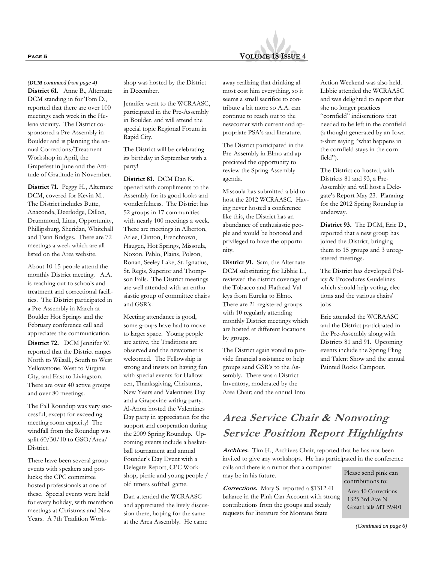

**District 61.** Anne B., Alternate DCM standing in for Tom D., reported that there are over 100 meetings each week in the Helena vicinity. The District cosponsored a Pre-Assembly in Boulder and is planning the annual Corrections/Treatment Workshop in April, the Grapefest in June and the Attitude of Gratitude in November.

**District 71.** Peggy H., Alternate DCM, covered for Kevin M.. The District includes Butte, Anaconda, Deerlodge, Dillon, Drummond, Lima, Opportunity, Phillipsburg, Sheridan, Whitehall and Twin Bridges. There are 72 meetings a week which are all listed on the Area website.

About 10-15 people attend the monthly District meeting. A.A. is reaching out to schools and treatment and correctional facilities. The District participated in a Pre-Assembly in March at Boulder Hot Springs and the February conference call and appreciates the communication.

**District 72.** DCM Jennifer W. reported that the District ranges North to Wilsall,, South to West Yellowstone, West to Virginia City, and East to Livingston. There are over 40 active groups and over 80 meetings.

The Fall Roundup was very successful, except for exceeding meeting room capacity! The windfall from the Roundup was split 60/30/10 to GSO/Area/ District.

There have been several group events with speakers and potlucks; the CPC committee hosted professionals at one of these. Special events were held for every holiday, with marathon meetings at Christmas and New Years. A 7th Tradition Work-

*(DCM continued from page 4)* shop was hosted by the District in December.

> Jennifer went to the WCRAASC, participated in the Pre-Assembly in Boulder, and will attend the special topic Regional Forum in Rapid City.

The District will be celebrating its birthday in September with a party!

**District 81.** DCM Dan K. opened with compliments to the Assembly for its good looks and wonderfulness. The District has 52 groups in 17 communities with nearly 100 meetings a week. There are meetings in Alberton, Arlee, Clinton, Frenchtown, Haugen, Hot Springs, Missoula, Noxon, Pablo, Plains, Polson, Ronan, Seeley Lake, St. Ignatius, St. Regis, Superior and Thompson Falls. The District meetings are well attended with an enthusiastic group of committee chairs and GSR's.

Meeting attendance is good, some groups have had to move to larger space. Young people are active, the Traditions are observed and the newcomer is welcomed. The Fellowship is strong and insists on having fun with special events for Halloween, Thanksgiving, Christmas, New Years and Valentines Day and a Grapevine writing party. Al-Anon hosted the Valentines Day party in appreciation for the support and cooperation during the 2009 Spring Roundup. Upcoming events include a basketball tournament and annual Founder's Day Event with a Delegate Report, CPC Workshop, picnic and young people / old timers softball game.

Dan attended the WCRAASC and appreciated the lively discussion there, hoping for the same at the Area Assembly. He came

away realizing that drinking almost cost him everything, so it seems a small sacrifice to contribute a bit more so A.A. can continue to reach out to the newcomer with current and appropriate PSA's and literature.

The District participated in the Pre-Assembly in Elmo and appreciated the opportunity to review the Spring Assembly agenda.

Missoula has submitted a bid to host the 2012 WCRAASC. Having never hosted a conference like this, the District has an abundance of enthusiastic people and would be honored and privileged to have the opportunity.

**District 91.** Sam, the Alternate DCM substituting for Libbie L., reviewed the district coverage of the Tobacco and Flathead Valleys from Eureka to Elmo. There are 21 registered groups with 10 regularly attending monthly District meetings which are hosted at different locations by groups.

The District again voted to provide financial assistance to help groups send GSR's to the Assembly. There was a District Inventory, moderated by the Area Chair; and the annual Into

Action Weekend was also held. Libbie attended the WCRAASC and was delighted to report that she no longer practices "cornfield" indiscretions that needed to be left in the cornfield (a thought generated by an Iowa t-shirt saying "what happens in the cornfield stays in the cornfield").

The District co-hosted, with Districts 81 and 93, a Pre-Assembly and will host a Delegate's Report May 23. Planning for the 2012 Spring Roundup is underway.

**District 93.** The DCM, Eric D., reported that a new group has joined the District, bringing them to 15 groups and 3 unregistered meetings.

The District has developed Policy & Procedures Guidelines which should help voting, elections and the various chairs' jobs.

Eric attended the WCRAASC and the District participated in the Pre-Assembly along with Districts 81 and 91. Upcoming events include the Spring Fling and Talent Show and the annual Painted Rocks Campout.

## **Area Service Chair & Nonvoting Service Position Report Highlights**

**Archives.** Tim H., Archives Chair, reported that he has not been invited to give any workshops. He has participated in the conference calls and there is a rumor that a computer

may be in his future.

**Corrections.** Mary S. reported a \$1312.41 balance in the Pink Can Account with strong contributions from the groups and steady requests for literature for Montana State

Please send pink can contributions to:

Area 40 Corrections 1325 3rd Ave N Great Falls MT 59401

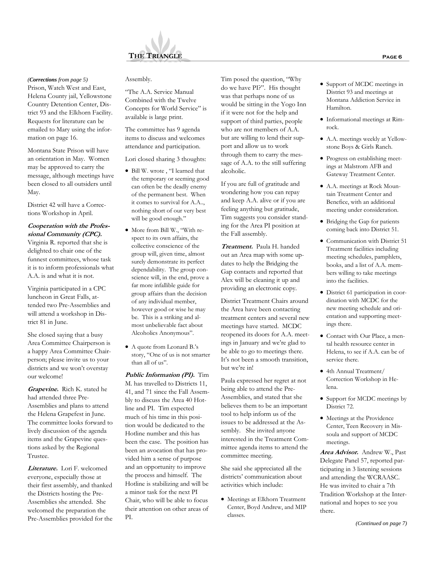

#### *(Corrections from page 5)* Assembly.

Prison, Watch West and East, Helena County jail, Yellowstone Country Detention Center, District 93 and the Elkhorn Facility. Requests for literature can be emailed to Mary using the information on page 16.

Montana State Prison will have an orientation in May. Women may be approved to carry the message, although meetings have been closed to all outsiders until May.

District 42 will have a Corrections Workshop in April.

### **Cooperation with the Professional Community (CPC).**

Virginia R. reported that she is delighted to chair one of the funnest committees, whose task it is to inform professionals what A.A. is and what it is not.

Virginia participated in a CPC luncheon in Great Falls, attended two Pre-Assemblies and will attend a workshop in District 81 in June.

She closed saying that a busy Area Committee Chairperson is a happy Area Committee Chairperson; please invite us to your districts and we won't overstay our welcome!

**Grapevine.** Rich K. stated he had attended three Pre-Assemblies and plans to attend the Helena Grapefest in June. The committee looks forward to lively discussion of the agenda items and the Grapevine questions asked by the Regional Trustee.

**Literature.** Lori F. welcomed everyone, especially those at their first assembly, and thanked the Districts hosting the Pre-Assemblies she attended. She welcomed the preparation the Pre-Assemblies provided for the

"The A.A. Service Manual Combined with the Twelve Concepts for World Service" is available is large print.

The committee has 9 agenda items to discuss and welcomes attendance and participation.

Lori closed sharing 3 thoughts:

- Bill W. wrote , "I learned that the temporary or seeming good can often be the deadly enemy of the permanent best. When it comes to survival for A.A.., nothing short of our very best will be good enough."
- More from Bill W., "With respect to its own affairs, the collective conscience of the group will, given time, almost surely demonstrate its perfect dependability. The group conscience will, in the end, prove a far more infallible guide for group affairs than the decision of any individual member, however good or wise he may be. This is a striking and almost unbelievable fact about Alcoholics Anonymous".
- A quote from Leonard B.'s story, "One of us is not smarter than all of us".

**Public Information (PI).** Tim M. has travelled to Districts 11, 41, and 71 since the Fall Assembly to discuss the Area 40 Hotline and PI. Tim expected much of his time in this position would be dedicated to the Hotline number and this has been the case. The position has been an avocation that has provided him a sense of purpose and an opportunity to improve the process and himself. The Hotline is stabilizing and will be a minor task for the next PI Chair, who will be able to focus their attention on other areas of PI.

Tim posed the question, "Why do we have PI?". His thought was that perhaps none of us would be sitting in the Yogo Inn if it were not for the help and support of third parties, people who are not members of A.A. but are willing to lend their support and allow us to work through them to carry the message of A.A. to the still suffering alcoholic.

If you are full of gratitude and wondering how you can repay and keep A.A. alive or if you are feeling anything but gratitude, Tim suggests you consider standing for the Area PI position at the Fall assembly.

**Treatment.** Paula H. handed out an Area map with some updates to help the Bridging the Gap contacts and reported that Alex will be cleaning it up and providing an electronic copy.

District Treatment Chairs around the Area have been contacting treatment centers and several new meetings have started. MCDC reopened its doors for A.A. meetings in January and we're glad to be able to go to meetings there. It's not been a smooth transition, but we're in!

Paula expressed her regret at not being able to attend the Pre-Assemblies, and stated that she believes them to be an important tool to help inform us of the issues to be addressed at the Assembly. She invited anyone interested in the Treatment Committee agenda items to attend the committee meeting.

She said she appreciated all the districts' communication about activities which include:

• Meetings at Elkhorn Treatment Center, Boyd Andrew, and MIP classes.

- Support of MCDC meetings in District 93 and meetings at Montana Addiction Service in Hamilton.
- Informational meetings at Rimrock.
- A.A. meetings weekly at Yellowstone Boys & Girls Ranch.
- Progress on establishing meetings at Malstrom AFB and Gateway Treatment Center.
- A.A. meetings at Rock Mountain Treatment Center and Benefice, with an additional meeting under consideration.
- Bridging the Gap for patients coming back into District 51.
- Communication with District 51 Treatment facilities including meeting schedules, pamphlets, books, and a list of A.A. members willing to take meetings into the facilities.
- District 61 participation in coordination with MCDC for the new meeting schedule and orientation and supporting meetings there.
- Contact with Our Place, a mental health resource center in Helena, to see if A.A. can be of service there.
- 4th Annual Treatment/ Correction Workshop in Helena.
- Support for MCDC meetings by District 72.
- Meetings at the Providence Center, Teen Recovery in Missoula and support of MCDC meetings.

**Area Advisor.** Andrew W., Past Delegate Panel 57, reported participating in 3 listening sessions and attending the WCRAASC. He was invited to chair a 7th Tradition Workshop at the International and hopes to see you there.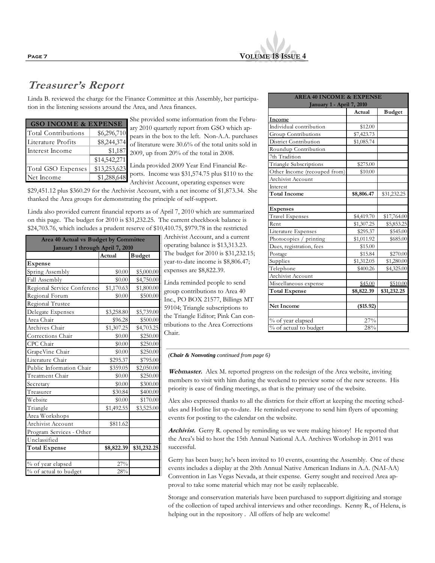

## **Treasurer's Report**

Linda B. reviewed the charge for the Finance Committee at this Assembly, her participation in the listening sessions around the Area, and Area finances.

| <b>GSO INCOME &amp; EXPENSE</b> |  |  |  |
|---------------------------------|--|--|--|
| \$6,296,710                     |  |  |  |
| \$8,244,374                     |  |  |  |
| \$1,187                         |  |  |  |
| \$14,542,271                    |  |  |  |
| \$13,253,623                    |  |  |  |
| \$1,288,648                     |  |  |  |
|                                 |  |  |  |

She provided some information from the February 2010 quarterly report from GSO which appears in the box to the left. Non-A.A. purchases of literature were 30.6% of the total units sold in 2009, up from 20% of the total in 2008.

Linda provided 2009 Year End Financial Reports. Income was \$31,574.75 plus \$110 to the Archivist Account, operating expenses were

\$29,451.12 plus \$360.29 for the Archivist Account, with a net income of \$1,873.34. She thanked the Area groups for demonstrating the principle of self-support.

Linda also provided current financial reports as of April 7, 2010 which are summarized on this page. The budget for 2010 is \$31,232.25. The current checkbook balance is \$24,703.76, which includes a prudent reserve of \$10,410.75, \$979.78 in the restricted

| Area 40 Actual vs Budget by Committee<br>January 1 through April 7, 2010 |            |               |  |
|--------------------------------------------------------------------------|------------|---------------|--|
|                                                                          | Actual     | <b>Budget</b> |  |
| <b>Expense</b>                                                           |            |               |  |
| Spring Assembly                                                          | \$0.00     | \$5,000.00    |  |
| Fall Assembly                                                            | \$0.00     | \$4,750.00    |  |
| Regional Service Conferenc                                               | \$1,170.63 | \$1,800.00    |  |
| Regional Forum                                                           | \$0.00     | \$500.00      |  |
| Regional Trustee                                                         |            |               |  |
| Delegate Expenses                                                        | \$3,258.80 | \$5,739.00    |  |
| Area Chair                                                               | \$96.28    | \$500.00      |  |
| Archives Chair                                                           | \$1,307.25 | \$4,703.25    |  |
| Corrections Chair                                                        | \$0.00     | \$250.00      |  |
| CPC Chair                                                                | \$0.00     | \$250.00      |  |
| Grape Vine Chair                                                         | \$0.00     | \$250.00      |  |
| Literature Chair                                                         | \$295.37   | \$795.00      |  |
| Public Information Chair                                                 | \$359.05   | \$2,050.00    |  |
| Treatment Chair                                                          | \$0.00     | \$250.00      |  |
| Secretary                                                                | \$0.00     | \$300.00      |  |
| Treasurer                                                                | \$30.84    | \$400.00      |  |
| Website                                                                  | \$0.00     | \$170.00      |  |
| Triangle                                                                 | \$1,492.55 | \$3,525.00    |  |
| Area Workshops                                                           |            |               |  |
| Archivist Account                                                        | \$811.62   |               |  |
| Program Services - Other                                                 |            |               |  |
| Unclassified                                                             |            |               |  |
| <b>Total Expense</b>                                                     | \$8,822.39 | \$31,232.25   |  |
|                                                                          |            |               |  |
| % of year elapsed                                                        | 27%        |               |  |
| % of actual to budget                                                    | 28%        |               |  |

Archivist Account, and a current operating balance is \$13,313.23. The budget for 2010 is \$31,232.15; year-to-date income is \$8,806.47; expenses are \$8,822.39.

Linda reminded people to send group contributions to Area 40 Inc., PO BOX 21577, Billings MT 59104; Triangle subscriptions to the Triangle Editor; Pink Can contributions to the Area Corrections Chair.

| <b>AREA 40 INCOME &amp; EXPENSE</b><br>January 1 - April 7, 2010 |            |               |  |  |
|------------------------------------------------------------------|------------|---------------|--|--|
|                                                                  | Actual     | <b>Budget</b> |  |  |
| <b>Income</b>                                                    |            |               |  |  |
| Individual contribution                                          | \$12.00    |               |  |  |
| Group Contributions                                              | \$7,423.73 |               |  |  |
| District Contribution                                            | \$1,085.74 |               |  |  |
| Roundup Contribution                                             |            |               |  |  |
| 7th Tradition                                                    |            |               |  |  |
| Triangle Subscriptions                                           | \$275.00   |               |  |  |
| Other Income (recouped from)                                     | \$10.00    |               |  |  |
| Archivist Account                                                |            |               |  |  |
| Interest                                                         |            |               |  |  |
| Total Income                                                     | \$8,806.47 | \$31,232.25   |  |  |
|                                                                  |            |               |  |  |
| <b>Expenses</b>                                                  |            |               |  |  |
| Travel Expenses                                                  | \$4,419.70 | \$17,764.00   |  |  |
| Rent                                                             | \$1,307.25 | \$5,853.25    |  |  |
| Literature Expenses                                              | \$295.37   | \$545.00      |  |  |
| Photocopies / printing                                           | \$1,011.92 | \$685.00      |  |  |
| Dues, registration, fees                                         | \$15.00    |               |  |  |
| Postage                                                          | \$15.84    | \$270.00      |  |  |
| Supplies                                                         | \$1,312.05 | \$1,280.00    |  |  |
| Telephone                                                        | \$400.26   | \$4,325.00    |  |  |
| Archivist Account                                                |            |               |  |  |
| Miscellaneous expense                                            | \$45.00    | \$510.00      |  |  |
| <b>Total Expense</b>                                             | \$8,822.39 | \$31,232.25   |  |  |
|                                                                  |            |               |  |  |
| Net Income                                                       | (\$15.92)  |               |  |  |
|                                                                  |            |               |  |  |
| % of year elapsed                                                | 27%        |               |  |  |
| % of actual to budget                                            | 28%        |               |  |  |

*(Chair & Nonvoting continued from page 6)* 

**Webmaster.** Alex M. reported progress on the redesign of the Area website, inviting members to visit with him during the weekend to preview some of the new screens. His priority is ease of finding meetings, as that is the primary use of the website.

Alex also expressed thanks to all the districts for their effort at keeping the meeting schedules and Hotline list up-to-date. He reminded everyone to send him flyers of upcoming events for posting to the calendar on the website.

**Archivist.** Gerry R. opened by reminding us we were making history! He reported that the Area's bid to host the 15th Annual National A.A. Archives Workshop in 2011 was successful.

Gerry has been busy; he's been invited to 10 events, counting the Assembly. One of these events includes a display at the 20th Annual Native American Indians in A.A. (NAI-AA) Convention in Las Vegas Nevada, at their expense. Gerry sought and received Area approval to take some material which may not be easily replaceable.

Storage and conservation materials have been purchased to support digitizing and storage of the collection of taped archival interviews and other recordings. Kenny R., of Helena, is helping out in the repository . All offers of help are welcome!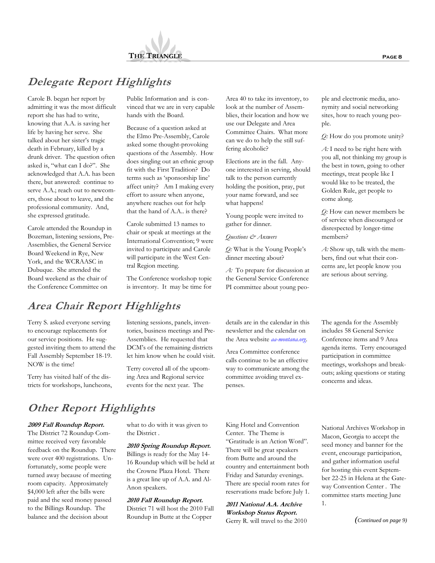

### **Delegate Report Highlights**

Carole B. began her report by admitting it was the most difficult report she has had to write, knowing that A.A. is saving her life by having her serve. She talked about her sister's tragic death in February, killed by a drunk driver. The question often asked is, "what can I do?". She acknowledged that A.A. has been there, but answered: continue to serve A.A.; reach out to newcomers, those about to leave, and the professional community. And, she expressed gratitude.

Carole attended the Roundup in Bozeman, listening sessions, Pre-Assemblies, the General Service Board Weekend in Rye, New York, and the WCRAASC in Dubuque. She attended the Board weekend as the chair of the Conference Committee on

Public Information and is convinced that we are in very capable hands with the Board.

Because of a question asked at the Elmo Pre-Assembly, Carole asked some thought-provoking questions of the Assembly. How does singling out an ethnic group fit with the First Tradition? Do terms such as 'sponsorship line' affect unity? Am I making every effort to assure when anyone, anywhere reaches out for help that the hand of A.A.. is there?

Carole submitted 13 names to chair or speak at meetings at the International Convention; 9 were invited to participate and Carole will participate in the West Central Region meeting.

The Conference workshop topic is inventory. It may be time for

Area 40 to take its inventory, to look at the number of Assemblies, their location and how we use our Delegate and Area Committee Chairs. What more can we do to help the still suffering alcoholic?

Elections are in the fall. Anyone interested in serving, should talk to the person currently holding the position, pray, put your name forward, and see what happens!

Young people were invited to gather for dinner.

*Questions & Answers*

*Q:* What is the Young People's dinner meeting about?

*A:* To prepare for discussion at the General Service Conference PI committee about young peo-

details are in the calendar in this

ple and electronic media, anonymity and social networking sites, how to reach young people.

*Q:* How do you promote unity?

*A:* I need to be right here with you all, not thinking my group is the best in town, going to other meetings, treat people like I would like to be treated, the Golden Rule, get people to come along.

*Q:* How can newer members be of service when discouraged or disrespected by longer-time members?

*A:* Show up, talk with the members, find out what their concerns are, let people know you are serious about serving.

### **Area Chair Report Highlights**

Terry S. asked everyone serving to encourage replacements for our service positions. He suggested inviting them to attend the Fall Assembly September 18-19. NOW is the time!

Terry has visited half of the districts for workshops, luncheons, listening sessions, panels, inventories, business meetings and Pre-Assemblies. He requested that DCM's of the remaining districts let him know when he could visit.

Terry covered all of the upcoming Area and Regional service events for the next year. The

newsletter and the calendar on the Area website *aa-montana.org*. Area Committee conference

calls continue to be an effective way to communicate among the committee avoiding travel expenses.

The agenda for the Assembly includes 58 General Service Conference items and 9 Area agenda items. Terry encouraged participation in committee meetings, workshops and breakouts; asking questions or stating concerns and ideas.

## **Other Report Highlights**

#### **2009 Fall Roundup Report.**

The District 72 Roundup Committee received very favorable feedback on the Roundup. There were over 400 registrations. Unfortunately, some people were turned away because of meeting room capacity. Approximately \$4,000 left after the bills were paid and the seed money passed to the Billings Roundup. The balance and the decision about

what to do with it was given to the District .

**2010 Spring Roundup Report.** Billings is ready for the May 14- 16 Roundup which will be held at the Crowne Plaza Hotel. There is a great line up of A.A. and Al-Anon speakers.

#### **2010 Fall Roundup Report.**

District 71 will host the 2010 Fall Roundup in Butte at the Copper

King Hotel and Convention Center. The Theme is "Gratitude is an Action Word". There will be great speakers from Butte and around the country and entertainment both Friday and Saturday evenings. There are special room rates for reservations made before July 1.

**2011 National A.A. Archive Workshop Status Report.**  Gerry R. will travel to the 2010 National Archives Workshop in Macon, Georgia to accept the seed money and banner for the event, encourage participation, and gather information useful for hosting this event September 22-25 in Helena at the Gateway Convention Center . The committee starts meeting June 1.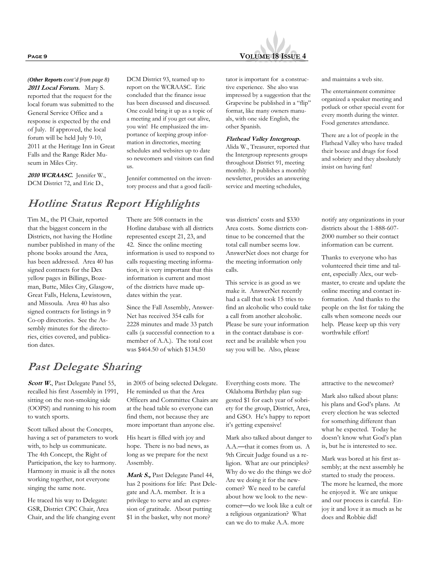**2011 Local Forum.** Mary S. reported that the request for the local forum was submitted to the General Service Office and a response is expected by the end of July. If approved, the local forum will be held July 9-10, 2011 at the Heritage Inn in Great Falls and the Range Rider Museum in Miles City. *(Other Reports cont'd from page 8)* 

**2010 WCRAASC.** Jennifer W., DCM District 72, and Eric D.,

DCM District 93, teamed up to report on the WCRAASC. Eric concluded that the finance issue has been discussed and discussed. One could bring it up as a topic of a meeting and if you get out alive, you win! He emphasized the importance of keeping group information in directories, meeting schedules and websites up to date so newcomers and visitors can find us.

Jennifer commented on the inventory process and that a good facili-



tator is important for a constructive experience. She also was impressed by a suggestion that the Grapevine be published in a "flip" format, like many owners manuals, with one side English, the other Spanish.

**Flathead Valley Intergroup.** 

Alida W., Treasurer, reported that the Intergroup represents groups throughout District 91, meeting monthly. It publishes a monthly newsletter, provides an answering service and meeting schedules,

and maintains a web site.

The entertainment committee organized a speaker meeting and potluck or other special event for every month during the winter. Food generates attendance.

There are a lot of people in the Flathead Valley who have traded their booze and drugs for food and sobriety and they absolutely insist on having fun!

**Hotline Status Report Highlights** 

Tim M., the PI Chair, reported that the biggest concern in the Districts, not having the Hotline number published in many of the phone books around the Area, has been addressed. Area 40 has signed contracts for the Dex yellow pages in Billings, Bozeman, Butte, Miles City, Glasgow, Great Falls, Helena, Lewistown, and Missoula. Area 40 has also signed contracts for listings in 9 Co-op directories. See the Assembly minutes for the directories, cities covered, and publication dates.

There are 508 contacts in the Hotline database with all districts represented except 21, 23, and 42. Since the online meeting information is used to respond to calls requesting meeting information, it is very important that this information is current and most of the districts have made updates within the year.

Since the Fall Assembly, Answer-Net has received 354 calls for 2228 minutes and made 33 patch calls (a successful connection to a member of A.A.). The total cost was \$464.50 of which \$134.50

was districts' costs and \$330 Area costs. Some districts continue to be concerned that the total call number seems low. AnswerNet does not charge for the meeting information only calls.

This service is as good as we make it. AnswerNet recently had a call that took 15 tries to find an alcoholic who could take a call from another alcoholic. Please be sure your information in the contact database is correct and be available when you say you will be. Also, please

notify any organizations in your districts about the 1-888-607- 2000 number so their contact information can be current.

Thanks to everyone who has volunteered their time and talent, especially Alex, our webmaster, to create and update the online meeting and contact information. And thanks to the people on the list for taking the calls when someone needs our help. Please keep up this very worthwhile effort!

### **Past Delegate Sharing**

Scott W., Past Delegate Panel 55, recalled his first Assembly in 1991, sitting on the non-smoking side (OOPS!) and running to his room to watch sports.

Scott talked about the Concepts, having a set of parameters to work with, to help us communicate. The 4th Concept, the Right of Participation, the key to harmony. Harmony in music is all the notes working together, not everyone singing the same note.

He traced his way to Delegate: GSR, District CPC Chair, Area Chair, and the life changing event in 2005 of being selected Delegate. He reminded us that the Area Officers and Committee Chairs are at the head table so everyone can find them, not because they are more important than anyone else.

His heart is filled with joy and hope. There is no bad news, as long as we prepare for the next Assembly.

**Mark S.,** Past Delegate Panel 44, has 2 positions for life: Past Delegate and A.A. member. It is a privilege to serve and an expression of gratitude. About putting \$1 in the basket, why not more?

Everything costs more. The Oklahoma Birthday plan suggested \$1 for each year of sobriety for the group, District, Area, and GSO. He's happy to report it's getting expensive!

Mark also talked about danger to A.A.—that it comes from us. A 9th Circuit Judge found us a religion. What are our principles? Why do we do the things we do? Are we doing it for the newcomer? We need to be careful about how we look to the newcomer—do we look like a cult or a religious organization? What can we do to make A.A. more

attractive to the newcomer?

Mark also talked about plans: his plans and God's plans. At every election he was selected for something different than what he expected. Today he doesn't know what God's plan is, but he is interested to see.

Mark was bored at his first assembly; at the next assembly he started to study the process. The more he learned, the more he enjoyed it. We are unique and our process is careful. Enjoy it and love it as much as he does and Robbie did!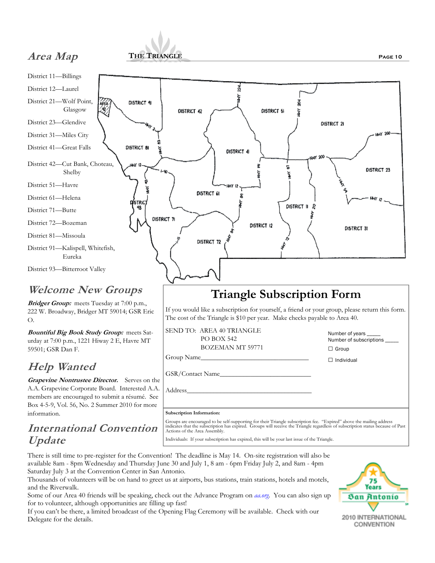





There is still time to pre-register for the Convention! The deadline is May 14. On-site registration will also be available 8am - 8pm Wednesday and Thursday June 30 and July 1, 8 am - 6pm Friday July 2, and 8am - 4pm Saturday July 3 at the Convention Center in San Antonio.

Thousands of volunteers will be on hand to greet us at airports, bus stations, train stations, hotels and motels, and the Riverwalk.

Some of our Area 40 friends will be speaking, check out the Advance Program on *aa.org*. You can also sign up for to volunteer, although opportunities are filling up fast!

If you can't be there, a limited broadcast of the Opening Flag Ceremony will be available. Check with our Delegate for the details.

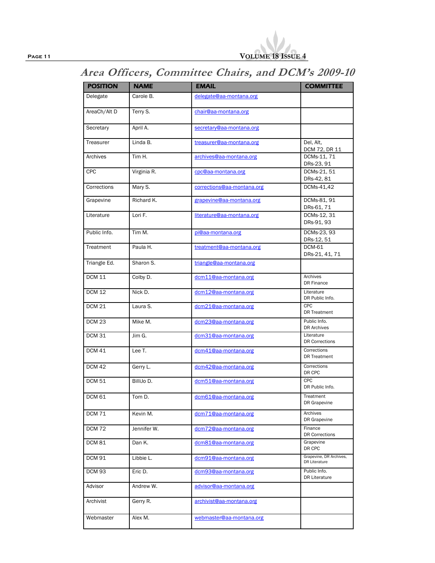

## **Area Officers, Committee Chairs, and DCM's 2009-10**

| <b>POSITION</b>   | <b>NAME</b> | <b>EMAIL</b>               | <b>COMMITTEE</b>                         |
|-------------------|-------------|----------------------------|------------------------------------------|
| Delegate          | Carole B.   | delegate@aa-montana.org    |                                          |
| AreaCh/Alt D      | Terry S.    | chair@aa-montana.org       |                                          |
| Secretary         | April A.    | secretary@aa-montana.org   |                                          |
| Treasurer         | Linda B.    | treasurer@aa-montana.org   | Del, Alt,<br>DCM 72, DR 11               |
| Archives          | Tim H.      | archives@aa-montana.org    | DCMs-11, 71<br>DRs-23, 91                |
| <b>CPC</b>        | Virginia R. | cpc@aa-montana.org         | DCMs-21, 51<br>DRs-42, 81                |
| Corrections       | Mary S.     | corrections@aa-montana.org | DCMs-41,42                               |
| Grapevine         | Richard K.  | grapevine@aa-montana.org   | DCMs-81, 91<br>DRs-61, 71                |
| Literature        | Lori F.     | literature@aa-montana.org  | DCMs-12, 31<br>DRs-91, 93                |
| Public Info.      | Tim M.      | pi@aa-montana.org          | DCMs-23, 93<br>DRs-12, 51                |
| Treatment         | Paula H.    | treatment@aa-montana.org   | <b>DCM-61</b><br>DRs-21, 41, 71          |
| Triangle Ed.      | Sharon S.   | triangle@aa-montana.org    |                                          |
| $DCM$ 11          | Colby D.    | dcm11@aa-montana.org       | Archives<br><b>DR Finance</b>            |
| <b>DCM 12</b>     | Nick D.     | dcm12@aa-montana.org       | Literature<br>DR Public Info.            |
| <b>DCM 21</b>     | Laura S.    | dcm21@aa-montana.org       | CPC<br>DR Treatment                      |
| DCM <sub>23</sub> | Mike M.     | dcm23@aa-montana.org       | Public Info.<br><b>DR Archives</b>       |
| $DCM$ 31          | Jim G.      | dcm31@aa-montana.org       | Literature<br><b>DR Corrections</b>      |
| <b>DCM 41</b>     | Lee T.      | dcm41@aa-montana.org       | Corrections<br><b>DR Treatment</b>       |
| <b>DCM 42</b>     | Gerry L.    | dcm42@aa-montana.org       | Corrections<br>DR CPC                    |
| <b>DCM 51</b>     | BilliJo D.  | dcm51@aa-montana.org       | CPC<br>DR Public Info.                   |
| <b>DCM 61</b>     | Tom D.      | dcm61@aa-montana.org       | Treatment<br>DR Grapevine                |
| <b>DCM 71</b>     | Kevin M.    | dcm71@aa-montana.org       | Archives<br>DR Grapevine                 |
| <b>DCM 72</b>     | Jennifer W. | dcm72@aa-montana.org       | Finance<br><b>DR Corrections</b>         |
| <b>DCM 81</b>     | Dan K.      | dcm81@aa-montana.org       | Grapevine<br>DR CPC                      |
| <b>DCM 91</b>     | Libbie L.   | dcm91@aa-montana.org       | Grapevine, DR Archives,<br>DR Literature |
| <b>DCM 93</b>     | Eric D.     | dcm93@aa-montana.org       | Public Info.<br><b>DR Literature</b>     |
| Advisor           | Andrew W.   | advisor@aa-montana.org     |                                          |
| Archivist         | Gerry R.    | archivist@aa-montana.org   |                                          |
| Webmaster         | Alex M.     | webmaster@aa-montana.org   |                                          |